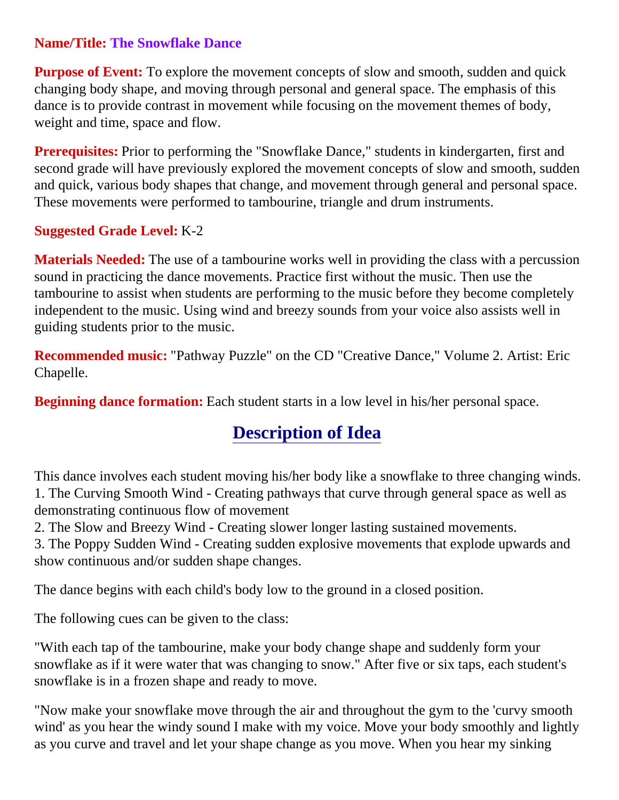## **Name/Title: The Snowflake Dance**

**Purpose of Event:** To explore the movement concepts of slow and smooth, sudden and quick changing body shape, and moving through personal and general space. The emphasis of this dance is to provide contrast in movement while focusing on the movement themes of body, weight and time, space and flow.

**Prerequisites:** Prior to performing the "Snowflake Dance," students in kindergarten, first and second grade will have previously explored the movement concepts of slow and smooth, sudden and quick, various body shapes that change, and movement through general and personal space. These movements were performed to tambourine, triangle and drum instruments.

## **Suggested Grade Level:** K-2

**Materials Needed:** The use of a tambourine works well in providing the class with a percussion sound in practicing the dance movements. Practice first without the music. Then use the tambourine to assist when students are performing to the music before they become completely independent to the music. Using wind and breezy sounds from your voice also assists well in guiding students prior to the music.

**Recommended music:** "Pathway Puzzle" on the CD "Creative Dance," Volume 2. Artist: Eric Chapelle.

**Beginning dance formation:** Each student starts in a low level in his/her personal space.

# **Description of Idea**

This dance involves each student moving his/her body like a snowflake to three changing winds. 1. The Curving Smooth Wind - Creating pathways that curve through general space as well as demonstrating continuous flow of movement

2. The Slow and Breezy Wind - Creating slower longer lasting sustained movements.

3. The Poppy Sudden Wind - Creating sudden explosive movements that explode upwards and show continuous and/or sudden shape changes.

The dance begins with each child's body low to the ground in a closed position.

The following cues can be given to the class:

"With each tap of the tambourine, make your body change shape and suddenly form your snowflake as if it were water that was changing to snow." After five or six taps, each student's snowflake is in a frozen shape and ready to move.

"Now make your snowflake move through the air and throughout the gym to the 'curvy smooth wind' as you hear the windy sound I make with my voice. Move your body smoothly and lightly as you curve and travel and let your shape change as you move. When you hear my sinking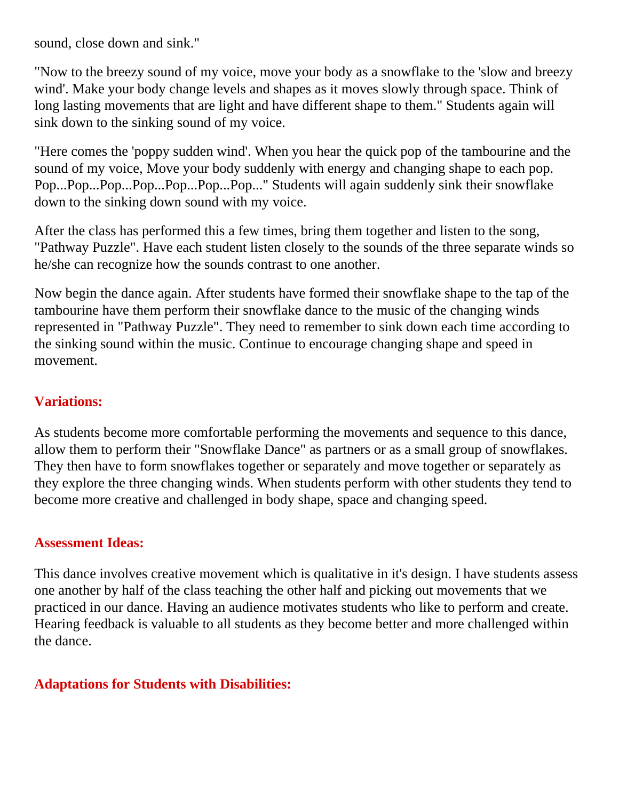sound, close down and sink."

"Now to the breezy sound of my voice, move your body as a snowflake to the 'slow and breezy wind'. Make your body change levels and shapes as it moves slowly through space. Think of long lasting movements that are light and have different shape to them." Students again will sink down to the sinking sound of my voice.

"Here comes the 'poppy sudden wind'. When you hear the quick pop of the tambourine and the sound of my voice, Move your body suddenly with energy and changing shape to each pop. Pop...Pop...Pop...Pop...Pop...Pop...Pop..." Students will again suddenly sink their snowflake down to the sinking down sound with my voice.

After the class has performed this a few times, bring them together and listen to the song, "Pathway Puzzle". Have each student listen closely to the sounds of the three separate winds so he/she can recognize how the sounds contrast to one another.

Now begin the dance again. After students have formed their snowflake shape to the tap of the tambourine have them perform their snowflake dance to the music of the changing winds represented in "Pathway Puzzle". They need to remember to sink down each time according to the sinking sound within the music. Continue to encourage changing shape and speed in movement.

## **Variations:**

As students become more comfortable performing the movements and sequence to this dance, allow them to perform their "Snowflake Dance" as partners or as a small group of snowflakes. They then have to form snowflakes together or separately and move together or separately as they explore the three changing winds. When students perform with other students they tend to become more creative and challenged in body shape, space and changing speed.

#### **Assessment Ideas:**

This dance involves creative movement which is qualitative in it's design. I have students assess one another by half of the class teaching the other half and picking out movements that we practiced in our dance. Having an audience motivates students who like to perform and create. Hearing feedback is valuable to all students as they become better and more challenged within the dance.

#### **Adaptations for Students with Disabilities:**